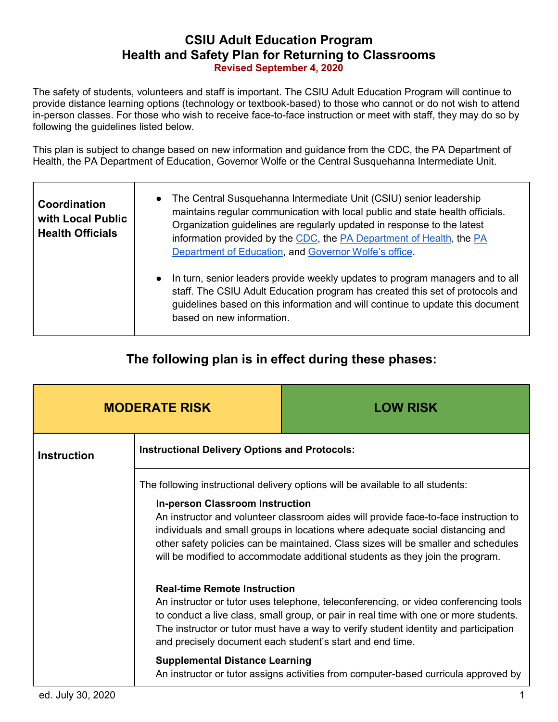## **CSIU Adult Education Program Health and Safety Plan for Returning to Classrooms Revised September 4, 2020**

The safety of students, volunteers and staff is important. The CSIU Adult Education Program will continue to provide distance learning options (technology or textbook-based) to those who cannot or do not wish to attend in-person classes. For those who wish to receive face-to-face instruction or meet with staff, they may do so by following the guidelines listed below.

This plan is subject to change based on new information and guidance from the CDC, the PA Department of Health, the PA Department of Education, Governor Wolfe or the Central Susquehanna Intermediate Unit.

| Coordination<br>with Local Public<br><b>Health Officials</b> | The Central Susquehanna Intermediate Unit (CSIU) senior leadership<br>$\bullet$<br>maintains regular communication with local public and state health officials.<br>Organization guidelines are regularly updated in response to the latest<br>information provided by the CDC, the PA Department of Health, the PA<br>Department of Education, and Governor Wolfe's office. |
|--------------------------------------------------------------|------------------------------------------------------------------------------------------------------------------------------------------------------------------------------------------------------------------------------------------------------------------------------------------------------------------------------------------------------------------------------|
|                                                              | In turn, senior leaders provide weekly updates to program managers and to all<br>staff. The CSIU Adult Education program has created this set of protocols and<br>guidelines based on this information and will continue to update this document<br>based on new information.                                                                                                |

# **The following plan is in effect during these phases:**

| <b>MODERATE RISK</b> |                                                                              | <b>LOW RISK</b>                                                                                                                                                                                                                                                                                                                                                                                                                  |
|----------------------|------------------------------------------------------------------------------|----------------------------------------------------------------------------------------------------------------------------------------------------------------------------------------------------------------------------------------------------------------------------------------------------------------------------------------------------------------------------------------------------------------------------------|
| <b>Instruction</b>   | <b>Instructional Delivery Options and Protocols:</b>                         |                                                                                                                                                                                                                                                                                                                                                                                                                                  |
|                      | <b>In-person Classroom Instruction</b>                                       | The following instructional delivery options will be available to all students:<br>An instructor and volunteer classroom aides will provide face-to-face instruction to<br>individuals and small groups in locations where adequate social distancing and<br>other safety policies can be maintained. Class sizes will be smaller and schedules<br>will be modified to accommodate additional students as they join the program. |
|                      | <b>Real-time Remote Instruction</b><br><b>Supplemental Distance Learning</b> | An instructor or tutor uses telephone, teleconferencing, or video conferencing tools<br>to conduct a live class, small group, or pair in real time with one or more students.<br>The instructor or tutor must have a way to verify student identity and participation<br>and precisely document each student's start and end time.<br>An instructor or tutor assigns activities from computer-based curricula approved by        |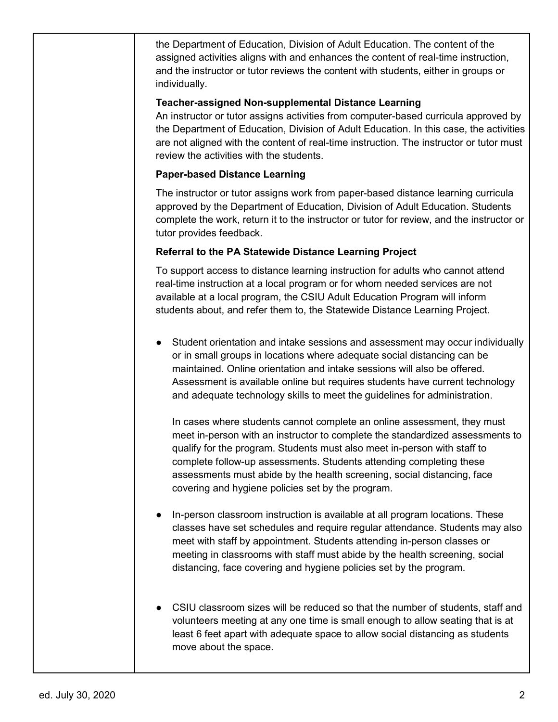the Department of Education, Division of Adult Education. The content of the assigned activities aligns with and enhances the content of real-time instruction, and the instructor or tutor reviews the content with students, either in groups or individually.

### **Teacher-assigned Non-supplemental Distance Learning**

An instructor or tutor assigns activities from computer-based curricula approved by the Department of Education, Division of Adult Education. In this case, the activities are not aligned with the content of real-time instruction. The instructor or tutor must review the activities with the students.

### **Paper-based Distance Learning**

The instructor or tutor assigns work from paper-based distance learning curricula approved by the Department of Education, Division of Adult Education. Students complete the work, return it to the instructor or tutor for review, and the instructor or tutor provides feedback.

### **Referral to the PA Statewide Distance Learning Project**

To support access to distance learning instruction for adults who cannot attend real-time instruction at a local program or for whom needed services are not available at a local program, the CSIU Adult Education Program will inform students about, and refer them to, the Statewide Distance Learning Project.

● Student orientation and intake sessions and assessment may occur individually or in small groups in locations where adequate social distancing can be maintained. Online orientation and intake sessions will also be offered. Assessment is available online but requires students have current technology and adequate technology skills to meet the guidelines for administration.

In cases where students cannot complete an online assessment, they must meet in-person with an instructor to complete the standardized assessments to qualify for the program. Students must also meet in-person with staff to complete follow-up assessments. Students attending completing these assessments must abide by the health screening, social distancing, face covering and hygiene policies set by the program.

- In-person classroom instruction is available at all program locations. These classes have set schedules and require regular attendance. Students may also meet with staff by appointment. Students attending in-person classes or meeting in classrooms with staff must abide by the health screening, social distancing, face covering and hygiene policies set by the program.
- CSIU classroom sizes will be reduced so that the number of students, staff and volunteers meeting at any one time is small enough to allow seating that is at least 6 feet apart with adequate space to allow social distancing as students move about the space.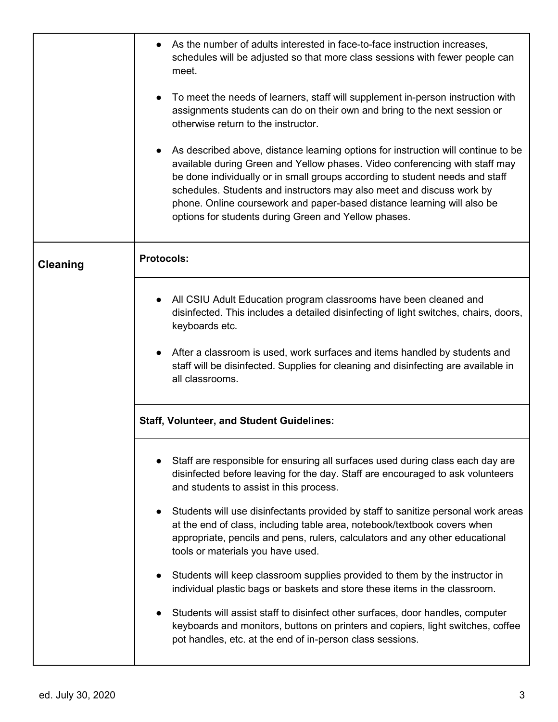|                 | As the number of adults interested in face-to-face instruction increases,<br>schedules will be adjusted so that more class sessions with fewer people can<br>meet.<br>To meet the needs of learners, staff will supplement in-person instruction with<br>assignments students can do on their own and bring to the next session or<br>otherwise return to the instructor.<br>As described above, distance learning options for instruction will continue to be<br>available during Green and Yellow phases. Video conferencing with staff may<br>be done individually or in small groups according to student needs and staff<br>schedules. Students and instructors may also meet and discuss work by<br>phone. Online coursework and paper-based distance learning will also be<br>options for students during Green and Yellow phases.                                                        |
|-----------------|--------------------------------------------------------------------------------------------------------------------------------------------------------------------------------------------------------------------------------------------------------------------------------------------------------------------------------------------------------------------------------------------------------------------------------------------------------------------------------------------------------------------------------------------------------------------------------------------------------------------------------------------------------------------------------------------------------------------------------------------------------------------------------------------------------------------------------------------------------------------------------------------------|
| <b>Cleaning</b> | <b>Protocols:</b>                                                                                                                                                                                                                                                                                                                                                                                                                                                                                                                                                                                                                                                                                                                                                                                                                                                                                |
|                 | All CSIU Adult Education program classrooms have been cleaned and<br>disinfected. This includes a detailed disinfecting of light switches, chairs, doors,<br>keyboards etc.<br>After a classroom is used, work surfaces and items handled by students and<br>staff will be disinfected. Supplies for cleaning and disinfecting are available in<br>all classrooms.                                                                                                                                                                                                                                                                                                                                                                                                                                                                                                                               |
|                 | <b>Staff, Volunteer, and Student Guidelines:</b>                                                                                                                                                                                                                                                                                                                                                                                                                                                                                                                                                                                                                                                                                                                                                                                                                                                 |
|                 | Staff are responsible for ensuring all surfaces used during class each day are<br>disinfected before leaving for the day. Staff are encouraged to ask volunteers<br>and students to assist in this process.<br>Students will use disinfectants provided by staff to sanitize personal work areas<br>at the end of class, including table area, notebook/textbook covers when<br>appropriate, pencils and pens, rulers, calculators and any other educational<br>tools or materials you have used.<br>Students will keep classroom supplies provided to them by the instructor in<br>individual plastic bags or baskets and store these items in the classroom.<br>Students will assist staff to disinfect other surfaces, door handles, computer<br>keyboards and monitors, buttons on printers and copiers, light switches, coffee<br>pot handles, etc. at the end of in-person class sessions. |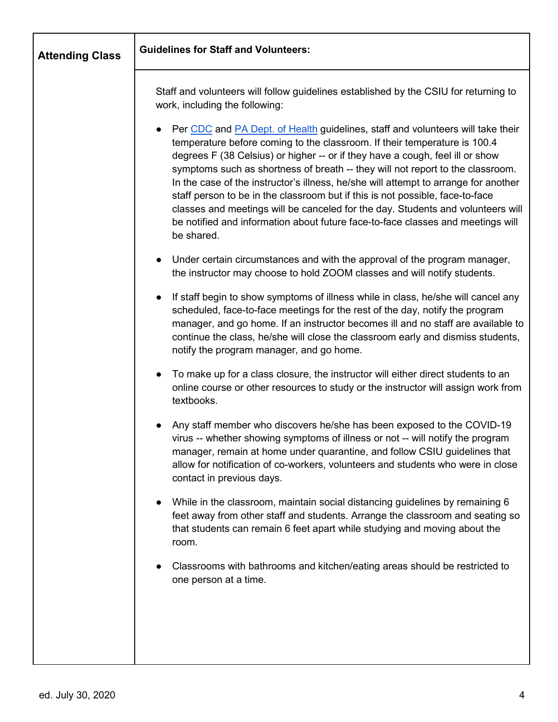| <b>Attending Class</b> | <b>Guidelines for Staff and Volunteers:</b>                                                                                                                                                                                                                                                                                                                                                                                                                                                                                                                                                                                                                                                              |
|------------------------|----------------------------------------------------------------------------------------------------------------------------------------------------------------------------------------------------------------------------------------------------------------------------------------------------------------------------------------------------------------------------------------------------------------------------------------------------------------------------------------------------------------------------------------------------------------------------------------------------------------------------------------------------------------------------------------------------------|
|                        | Staff and volunteers will follow guidelines established by the CSIU for returning to<br>work, including the following:                                                                                                                                                                                                                                                                                                                                                                                                                                                                                                                                                                                   |
|                        | Per CDC and PA Dept. of Health guidelines, staff and volunteers will take their<br>$\bullet$<br>temperature before coming to the classroom. If their temperature is 100.4<br>degrees F (38 Celsius) or higher -- or if they have a cough, feel ill or show<br>symptoms such as shortness of breath -- they will not report to the classroom.<br>In the case of the instructor's illness, he/she will attempt to arrange for another<br>staff person to be in the classroom but if this is not possible, face-to-face<br>classes and meetings will be canceled for the day. Students and volunteers will<br>be notified and information about future face-to-face classes and meetings will<br>be shared. |
|                        | Under certain circumstances and with the approval of the program manager,<br>$\bullet$<br>the instructor may choose to hold ZOOM classes and will notify students.                                                                                                                                                                                                                                                                                                                                                                                                                                                                                                                                       |
|                        | If staff begin to show symptoms of illness while in class, he/she will cancel any<br>$\bullet$<br>scheduled, face-to-face meetings for the rest of the day, notify the program<br>manager, and go home. If an instructor becomes ill and no staff are available to<br>continue the class, he/she will close the classroom early and dismiss students,<br>notify the program manager, and go home.                                                                                                                                                                                                                                                                                                        |
|                        | To make up for a class closure, the instructor will either direct students to an<br>$\bullet$<br>online course or other resources to study or the instructor will assign work from<br>textbooks.                                                                                                                                                                                                                                                                                                                                                                                                                                                                                                         |
|                        | Any staff member who discovers he/she has been exposed to the COVID-19<br>virus -- whether showing symptoms of illness or not -- will notify the program<br>manager, remain at home under quarantine, and follow CSIU guidelines that<br>allow for notification of co-workers, volunteers and students who were in close<br>contact in previous days.                                                                                                                                                                                                                                                                                                                                                    |
|                        | While in the classroom, maintain social distancing guidelines by remaining 6<br>$\bullet$<br>feet away from other staff and students. Arrange the classroom and seating so<br>that students can remain 6 feet apart while studying and moving about the<br>room.                                                                                                                                                                                                                                                                                                                                                                                                                                         |
|                        | Classrooms with bathrooms and kitchen/eating areas should be restricted to<br>one person at a time.                                                                                                                                                                                                                                                                                                                                                                                                                                                                                                                                                                                                      |
|                        |                                                                                                                                                                                                                                                                                                                                                                                                                                                                                                                                                                                                                                                                                                          |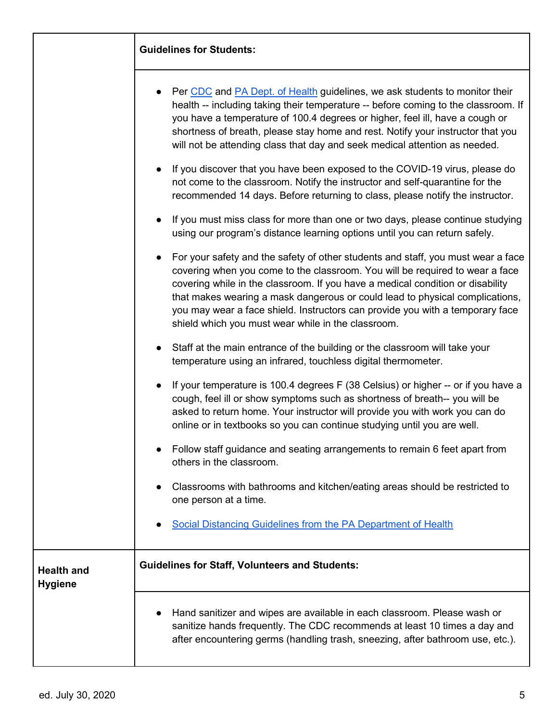|                              | Per CDC and PA Dept. of Health guidelines, we ask students to monitor their<br>health -- including taking their temperature -- before coming to the classroom. If<br>you have a temperature of 100.4 degrees or higher, feel ill, have a cough or<br>shortness of breath, please stay home and rest. Notify your instructor that you<br>will not be attending class that day and seek medical attention as needed.<br>If you discover that you have been exposed to the COVID-19 virus, please do<br>not come to the classroom. Notify the instructor and self-quarantine for the<br>recommended 14 days. Before returning to class, please notify the instructor. |
|------------------------------|--------------------------------------------------------------------------------------------------------------------------------------------------------------------------------------------------------------------------------------------------------------------------------------------------------------------------------------------------------------------------------------------------------------------------------------------------------------------------------------------------------------------------------------------------------------------------------------------------------------------------------------------------------------------|
|                              | If you must miss class for more than one or two days, please continue studying<br>using our program's distance learning options until you can return safely.                                                                                                                                                                                                                                                                                                                                                                                                                                                                                                       |
|                              | For your safety and the safety of other students and staff, you must wear a face<br>covering when you come to the classroom. You will be required to wear a face<br>covering while in the classroom. If you have a medical condition or disability<br>that makes wearing a mask dangerous or could lead to physical complications,<br>you may wear a face shield. Instructors can provide you with a temporary face<br>shield which you must wear while in the classroom.                                                                                                                                                                                          |
|                              | Staff at the main entrance of the building or the classroom will take your<br>temperature using an infrared, touchless digital thermometer.                                                                                                                                                                                                                                                                                                                                                                                                                                                                                                                        |
|                              | If your temperature is 100.4 degrees F (38 Celsius) or higher -- or if you have a<br>cough, feel ill or show symptoms such as shortness of breath-- you will be<br>asked to return home. Your instructor will provide you with work you can do<br>online or in textbooks so you can continue studying until you are well.                                                                                                                                                                                                                                                                                                                                          |
|                              | Follow staff guidance and seating arrangements to remain 6 feet apart from<br>others in the classroom.                                                                                                                                                                                                                                                                                                                                                                                                                                                                                                                                                             |
|                              | Classrooms with bathrooms and kitchen/eating areas should be restricted to<br>one person at a time.                                                                                                                                                                                                                                                                                                                                                                                                                                                                                                                                                                |
|                              | Social Distancing Guidelines from the PA Department of Health                                                                                                                                                                                                                                                                                                                                                                                                                                                                                                                                                                                                      |
| <b>Health and</b><br>Hygiene | <b>Guidelines for Staff, Volunteers and Students:</b>                                                                                                                                                                                                                                                                                                                                                                                                                                                                                                                                                                                                              |
|                              | Hand sanitizer and wipes are available in each classroom. Please wash or<br>sanitize hands frequently. The CDC recommends at least 10 times a day and<br>after encountering germs (handling trash, sneezing, after bathroom use, etc.).                                                                                                                                                                                                                                                                                                                                                                                                                            |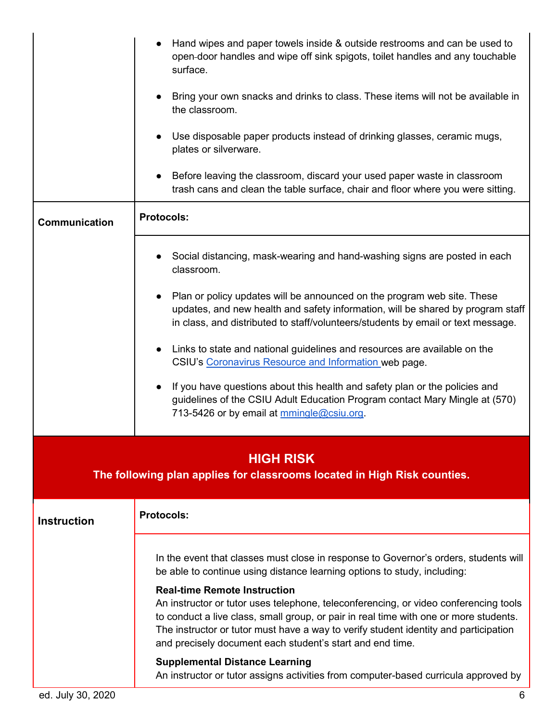|                                                                                              | Hand wipes and paper towels inside & outside restrooms and can be used to<br>open-door handles and wipe off sink spigots, toilet handles and any touchable<br>surface.<br>Bring your own snacks and drinks to class. These items will not be available in<br>the classroom.<br>Use disposable paper products instead of drinking glasses, ceramic mugs,<br>plates or silverware.<br>Before leaving the classroom, discard your used paper waste in classroom<br>trash cans and clean the table surface, chair and floor where you were sitting.                                                                                                                                                         |
|----------------------------------------------------------------------------------------------|---------------------------------------------------------------------------------------------------------------------------------------------------------------------------------------------------------------------------------------------------------------------------------------------------------------------------------------------------------------------------------------------------------------------------------------------------------------------------------------------------------------------------------------------------------------------------------------------------------------------------------------------------------------------------------------------------------|
| Communication                                                                                | <b>Protocols:</b>                                                                                                                                                                                                                                                                                                                                                                                                                                                                                                                                                                                                                                                                                       |
|                                                                                              | Social distancing, mask-wearing and hand-washing signs are posted in each<br>classroom.<br>Plan or policy updates will be announced on the program web site. These<br>$\bullet$<br>updates, and new health and safety information, will be shared by program staff<br>in class, and distributed to staff/volunteers/students by email or text message.<br>Links to state and national guidelines and resources are available on the<br>CSIU's Coronavirus Resource and Information web page.<br>If you have questions about this health and safety plan or the policies and<br>guidelines of the CSIU Adult Education Program contact Mary Mingle at (570)<br>713-5426 or by email at mmingle@csiu.org. |
| <b>HIGH RISK</b><br>The following plan applies for classrooms located in High Risk counties. |                                                                                                                                                                                                                                                                                                                                                                                                                                                                                                                                                                                                                                                                                                         |
| <b>Instruction</b>                                                                           | <b>Protocols:</b>                                                                                                                                                                                                                                                                                                                                                                                                                                                                                                                                                                                                                                                                                       |
|                                                                                              | In the event that classes must close in response to Governor's orders, students will<br>be able to continue using distance learning options to study, including:<br><b>Real-time Remote Instruction</b><br>An instructor or tutor uses telephone, teleconferencing, or video conferencing tools<br>to conduct a live class, small group, or pair in real time with one or more students.<br>The instructor or tutor must have a way to verify student identity and participation<br>and precisely document each student's start and end time.<br><b>Supplemental Distance Learning</b><br>An instructor or tutor assigns activities from computer-based curricula approved by                           |
| ed. July 30, 2020                                                                            | 6                                                                                                                                                                                                                                                                                                                                                                                                                                                                                                                                                                                                                                                                                                       |